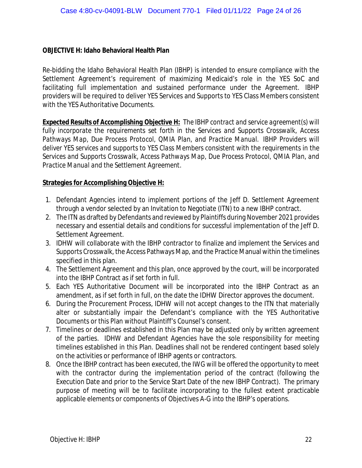## **OBJECTIVE H: Idaho Behavioral Health Plan**

Re-bidding the Idaho Behavioral Health Plan (IBHP) is intended to ensure compliance with the Settlement Agreement's requirement of maximizing Medicaid's role in the YES SoC and facilitating full implementation and sustained performance under the Agreement. IBHP providers will be required to deliver YES Services and Supports to YES Class Members consistent with the YES Authoritative Documents.

*Expected Results of Accomplishing Objective H: The IBHP contract and service agreement(s) will fully incorporate the requirements set forth in the Services and Supports Crosswalk, Access Pathways Map, Due Process Protocol, QMIA Plan, and Practice Manual. IBHP Providers will deliver YES services and supports to YES Class Members consistent with the requirements in the Services and Supports Crosswalk, Access Pathways Map, Due Process Protocol, QMIA Plan, and Practice Manual and the Settlement Agreement.*

## **Strategies for Accomplishing Objective H:**

- 1. Defendant Agencies intend to implement portions of the Jeff D. Settlement Agreement through a vendor selected by an Invitation to Negotiate (ITN) to a new IBHP contract.
- 2. The ITN as drafted by Defendants and reviewed by Plaintiffs during November 2021 provides necessary and essential details and conditions for successful implementation of the Jeff D. Settlement Agreement.
- 3. IDHW will collaborate with the IBHP contractor to finalize and implement the Services and Supports Crosswalk, the Access Pathways Map, and the Practice Manual within the timelines specified in this plan.
- 4. The Settlement Agreement and this plan, once approved by the court, will be incorporated into the IBHP Contract as if set forth in full.
- 5. Each YES Authoritative Document will be incorporated into the IBHP Contract as an amendment, as if set forth in full, on the date the IDHW Director approves the document.
- 6. During the Procurement Process, IDHW will not accept changes to the ITN that materially alter or substantially impair the Defendant's compliance with the YES Authoritative Documents or this Plan without Plaintiff's Counsel's consent.
- 7. Timelines or deadlines established in this Plan may be adjusted only by written agreement of the parties. IDHW and Defendant Agencies have the sole responsibility for meeting timelines established in this Plan. Deadlines shall not be rendered contingent based solely on the activities or performance of IBHP agents or contractors.
- 8. Once the IBHP contract has been executed, the IWG will be offered the opportunity to meet with the contractor during the implementation period of the contract (following the Execution Date and prior to the Service Start Date of the new IBHP Contract). The primary purpose of meeting will be to facilitate incorporating to the fullest extent practicable applicable elements or components of Objectives A-G into the IBHP's operations.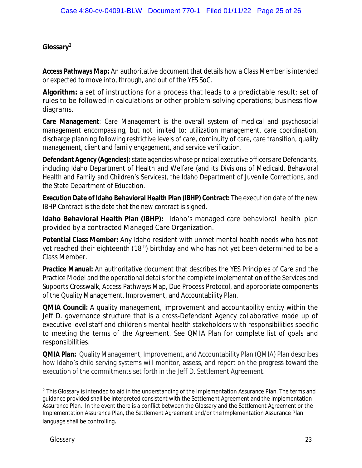**Glossary[2](#page-1-0)**

**Access Pathways Map:** An authoritative document that details how a Class Member is intended or expected to move into, through, and out of the YES SoC.

**Algorithm:** a set of instructions for a process that leads to a predictable result; set of rules to be followed in calculations or other problem-solving operations; business flow diagrams.

**Care Management**: Care Management is the overall system of medical and psychosocial management encompassing, but not limited to: utilization management, care coordination, discharge planning following restrictive levels of care, continuity of care, care transition, quality management, client and family engagement, and service verification.

**Defendant Agency (Agencies):**state agencies whose principal executive officers are Defendants, including Idaho Department of Health and Welfare (and its Divisions of Medicaid, Behavioral Health and Family and Children's Services), the Idaho Department of Juvenile Corrections, and the State Department of Education.

**Execution Date of Idaho Behavioral Health Plan (IBHP) Contract:** The execution date of the new IBHP Contract is the date that the new contract is signed.

**Idaho Behavioral Health Plan (IBHP):** Idaho's managed care behavioral health plan provided by a contracted Managed Care Organization.

**Potential Class Member:** Any Idaho resident with unmet mental health needs who has not yet reached their eighteenth (18<sup>th</sup>) birthday and who has not yet been determined to be a Class Member.

**Practice Manual:** An authoritative document that describes the YES Principles of Care and the Practice Model and the operational details for the complete implementation of the Services and Supports Crosswalk, Access Pathways Map, Due Process Protocol, and appropriate components of the Quality Management, Improvement, and Accountability Plan.

**QMIA Council:** A quality management, improvement and accountability entity within the Jeff D. governance structure that is a cross-Defendant Agency collaborative made up of executive level staff and children's mental health stakeholders with responsibilities specific to meeting the terms of the Agreement. See QMIA Plan for complete list of goals and responsibilities.

**QMIA Plan:** Quality Management, Improvement, and Accountability Plan (QMIA) Plan describes how Idaho's child serving systems will monitor, assess, and report on the progress toward the execution of the commitments set forth in the Jeff D. Settlement Agreement.

<span id="page-1-0"></span><sup>&</sup>lt;sup>2</sup> This Glossary is intended to aid in the understanding of the Implementation Assurance Plan. The terms and guidance provided shall be interpreted consistent with the Settlement Agreement and the Implementation Assurance Plan. In the event there is a conflict between the Glossary and the Settlement Agreement or the Implementation Assurance Plan, the Settlement Agreement and/or the Implementation Assurance Plan language shall be controlling.